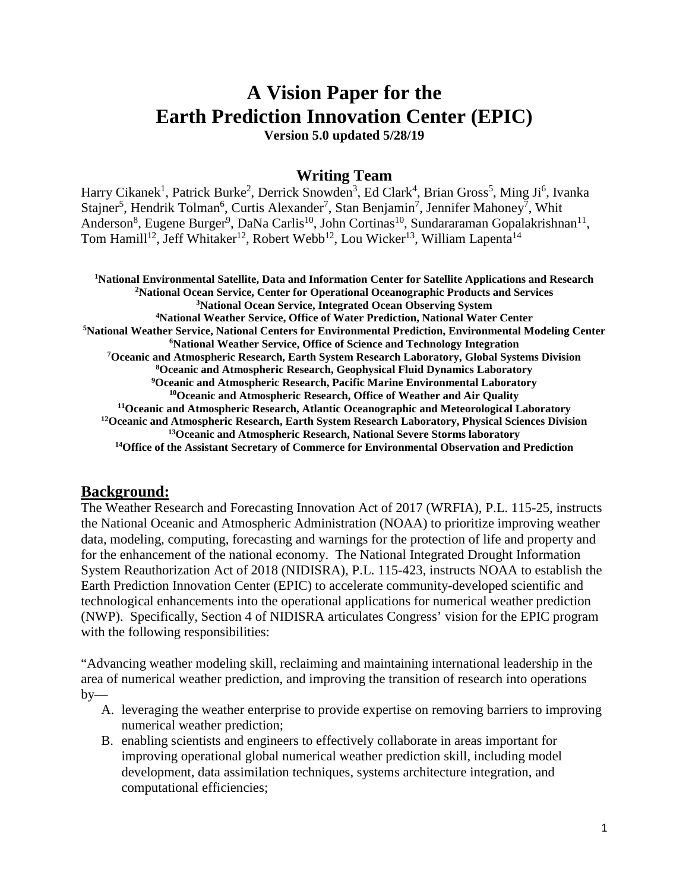# **A Vision Paper for the Earth Prediction Innovation Center (EPIC)**

**Version 5.0 updated 5/28/19**

# **Writing Team**

Harry Cikanek<sup>1</sup>, Patrick Burke<sup>2</sup>, Derrick Snowden<sup>3</sup>, Ed Clark<sup>4</sup>, Brian Gross<sup>5</sup>, Ming Ji<sup>6</sup>, Ivanka Stajner<sup>5</sup>, Hendrik Tolman<sup>6</sup>, Curtis Alexander<sup>7</sup>, Stan Benjamin<sup>7</sup>, Jennifer Mahoney<sup>7</sup>, Whit Anderson<sup>8</sup>, Eugene Burger<sup>9</sup>, DaNa Carlis<sup>10</sup>, John Cortinas<sup>10</sup>, Sundararaman Gopalakrishnan<sup>11</sup>, Tom Hamill<sup>12</sup>, Jeff Whitaker<sup>12</sup>, Robert Webb<sup>12</sup>, Lou Wicker<sup>13</sup>, William Lapenta<sup>14</sup>

 **National Environmental Satellite, Data and Information Center for Satellite Applications and Research National Ocean Service, Center for Operational Oceanographic Products and Services National Ocean Service, Integrated Ocean Observing System National Weather Service, Office of Water Prediction, National Water Center National Weather Service, National Centers for Environmental Prediction, Environmental Modeling Center National Weather Service, Office of Science and Technology Integration Oceanic and Atmospheric Research, Earth System Research Laboratory, Global Systems Division Oceanic and Atmospheric Research, Geophysical Fluid Dynamics Laboratory Oceanic and Atmospheric Research, Pacific Marine Environmental Laboratory 10Oceanic and Atmospheric Research, Office of Weather and Air Quality 11Oceanic and Atmospheric Research, Atlantic Oceanographic and Meteorological Laboratory 12Oceanic and Atmospheric Research, Earth System Research Laboratory, Physical Sciences Division 13Oceanic and Atmospheric Research, National Severe Storms laboratory 14Office of the Assistant Secretary of Commerce for Environmental Observation and Prediction**

# **Background:**

The Weather Research and Forecasting Innovation Act of 2017 (WRFIA), P.L. 115-25, instructs the National Oceanic and Atmospheric Administration (NOAA) to prioritize improving weather data, modeling, computing, forecasting and warnings for the protection of life and property and for the enhancement of the national economy. The National Integrated Drought Information System Reauthorization Act of 2018 (NIDISRA), P.L. 115-423, instructs NOAA to establish the Earth Prediction Innovation Center (EPIC) to accelerate community-developed scientific and technological enhancements into the operational applications for numerical weather prediction (NWP). Specifically, Section 4 of NIDISRA articulates Congress' vision for the EPIC program with the following responsibilities:

"Advancing weather modeling skill, reclaiming and maintaining international leadership in the area of numerical weather prediction, and improving the transition of research into operations  $by-$ 

- A. leveraging the weather enterprise to provide expertise on removing barriers to improving numerical weather prediction;
- B. enabling scientists and engineers to effectively collaborate in areas important for improving operational global numerical weather prediction skill, including model development, data assimilation techniques, systems architecture integration, and computational efficiencies;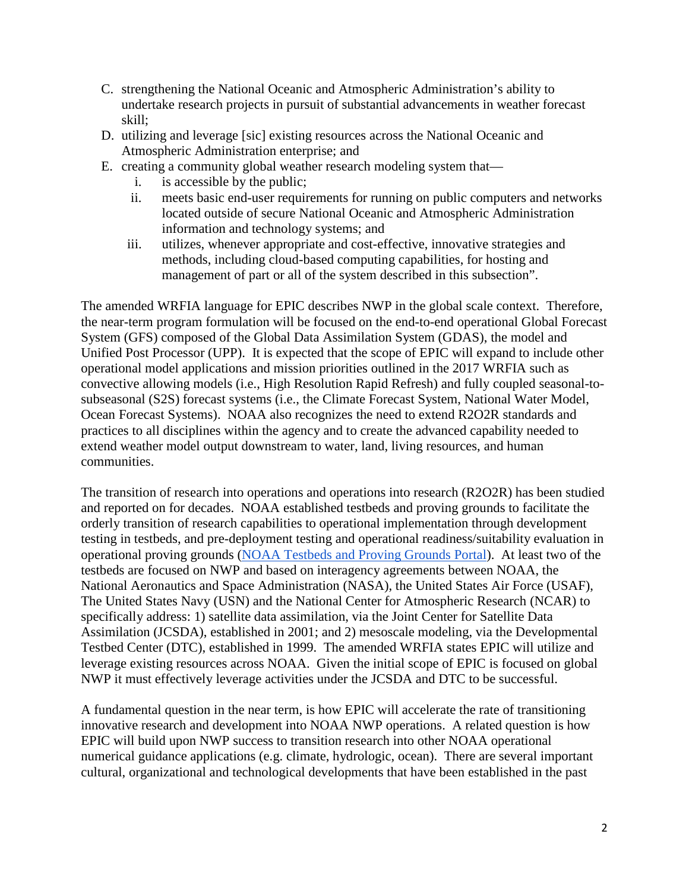- C. strengthening the National Oceanic and Atmospheric Administration's ability to undertake research projects in pursuit of substantial advancements in weather forecast skill;
- D. utilizing and leverage [sic] existing resources across the National Oceanic and Atmospheric Administration enterprise; and
- E. creating a community global weather research modeling system that
	- i. is accessible by the public;
	- ii. meets basic end-user requirements for running on public computers and networks located outside of secure National Oceanic and Atmospheric Administration information and technology systems; and
	- iii. utilizes, whenever appropriate and cost-effective, innovative strategies and methods, including cloud-based computing capabilities, for hosting and management of part or all of the system described in this subsection".

The amended WRFIA language for EPIC describes NWP in the global scale context. Therefore, the near-term program formulation will be focused on the end-to-end operational Global Forecast System (GFS) composed of the Global Data Assimilation System (GDAS), the model and Unified Post Processor (UPP). It is expected that the scope of EPIC will expand to include other operational model applications and mission priorities outlined in the 2017 WRFIA such as convective allowing models (i.e., High Resolution Rapid Refresh) and fully coupled seasonal-tosubseasonal (S2S) forecast systems (i.e., the Climate Forecast System, National Water Model, Ocean Forecast Systems). NOAA also recognizes the need to extend R2O2R standards and practices to all disciplines within the agency and to create the advanced capability needed to extend weather model output downstream to water, land, living resources, and human communities.

The transition of research into operations and operations into research (R2O2R) has been studied and reported on for decades. NOAA established testbeds and proving grounds to facilitate the orderly transition of research capabilities to operational implementation through development testing in testbeds, and pre-deployment testing and operational readiness/suitability evaluation in operational proving grounds [\(NOAA Testbeds and Proving Grounds Portal\)](https://www.testbeds.noaa.gov/). At least two of the testbeds are focused on NWP and based on interagency agreements between NOAA, the National Aeronautics and Space Administration (NASA), the United States Air Force (USAF), The United States Navy (USN) and the National Center for Atmospheric Research (NCAR) to specifically address: 1) satellite data assimilation, via the Joint Center for Satellite Data Assimilation (JCSDA), established in 2001; and 2) mesoscale modeling, via the Developmental Testbed Center (DTC), established in 1999. The amended WRFIA states EPIC will utilize and leverage existing resources across NOAA. Given the initial scope of EPIC is focused on global NWP it must effectively leverage activities under the JCSDA and DTC to be successful.

A fundamental question in the near term, is how EPIC will accelerate the rate of transitioning innovative research and development into NOAA NWP operations. A related question is how EPIC will build upon NWP success to transition research into other NOAA operational numerical guidance applications (e.g. climate, hydrologic, ocean). There are several important cultural, organizational and technological developments that have been established in the past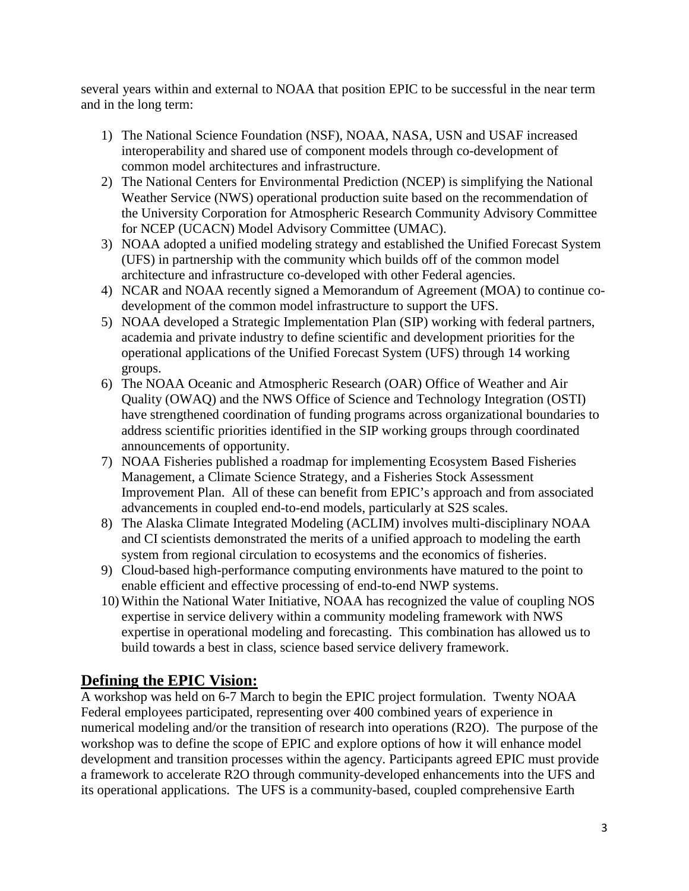several years within and external to NOAA that position EPIC to be successful in the near term and in the long term:

- 1) The National Science Foundation (NSF), NOAA, NASA, USN and USAF increased interoperability and shared use of component models through co-development of common model architectures and infrastructure.
- 2) The National Centers for Environmental Prediction (NCEP) is simplifying the National Weather Service (NWS) operational production suite based on the recommendation of the University Corporation for Atmospheric Research Community Advisory Committee for NCEP (UCACN) Model Advisory Committee (UMAC).
- 3) NOAA adopted a unified modeling strategy and established the Unified Forecast System (UFS) in partnership with the community which builds off of the common model architecture and infrastructure co-developed with other Federal agencies.
- 4) NCAR and NOAA recently signed a Memorandum of Agreement (MOA) to continue codevelopment of the common model infrastructure to support the UFS.
- 5) NOAA developed a Strategic Implementation Plan (SIP) working with federal partners, academia and private industry to define scientific and development priorities for the operational applications of the Unified Forecast System (UFS) through 14 working groups.
- 6) The NOAA Oceanic and Atmospheric Research (OAR) Office of Weather and Air Quality (OWAQ) and the NWS Office of Science and Technology Integration (OSTI) have strengthened coordination of funding programs across organizational boundaries to address scientific priorities identified in the SIP working groups through coordinated announcements of opportunity.
- 7) NOAA Fisheries published a roadmap for implementing Ecosystem Based Fisheries Management, a Climate Science Strategy, and a Fisheries Stock Assessment Improvement Plan. All of these can benefit from EPIC's approach and from associated advancements in coupled end-to-end models, particularly at S2S scales.
- 8) The Alaska Climate Integrated Modeling (ACLIM) involves multi-disciplinary NOAA and CI scientists demonstrated the merits of a unified approach to modeling the earth system from regional circulation to ecosystems and the economics of fisheries.
- 9) Cloud-based high-performance computing environments have matured to the point to enable efficient and effective processing of end-to-end NWP systems.
- 10) Within the National Water Initiative, NOAA has recognized the value of coupling NOS expertise in service delivery within a community modeling framework with NWS expertise in operational modeling and forecasting. This combination has allowed us to build towards a best in class, science based service delivery framework.

# **Defining the EPIC Vision:**

A workshop was held on 6-7 March to begin the EPIC project formulation. Twenty NOAA Federal employees participated, representing over 400 combined years of experience in numerical modeling and/or the transition of research into operations (R2O). The purpose of the workshop was to define the scope of EPIC and explore options of how it will enhance model development and transition processes within the agency. Participants agreed EPIC must provide a framework to accelerate R2O through community-developed enhancements into the UFS and its operational applications. The UFS is a community-based, coupled comprehensive Earth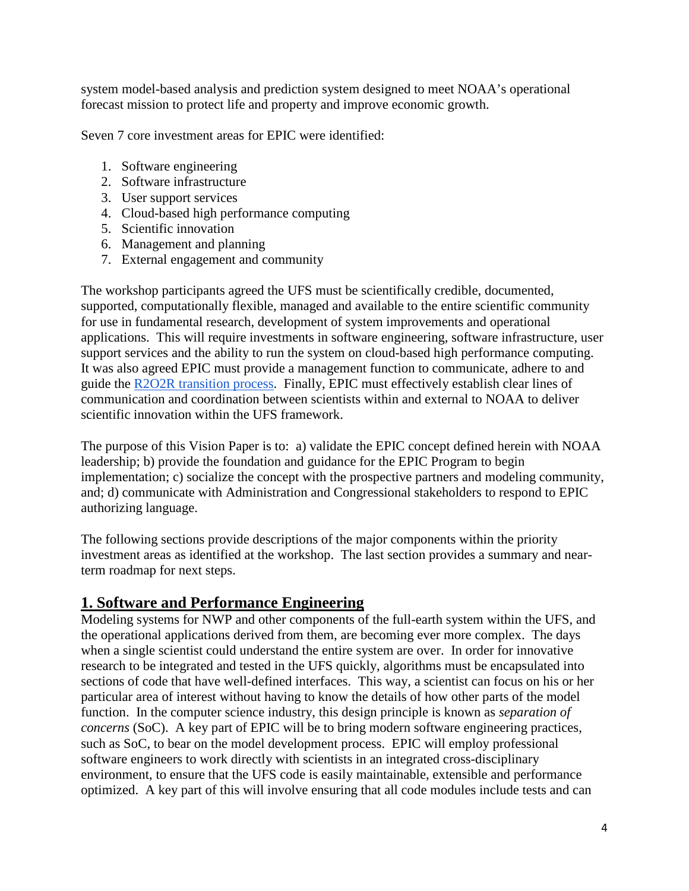system model-based analysis and prediction system designed to meet NOAA's operational forecast mission to protect life and property and improve economic growth.

Seven 7 core investment areas for EPIC were identified:

- 1. Software engineering
- 2. Software infrastructure
- 3. User support services
- 4. Cloud-based high performance computing
- 5. Scientific innovation
- 6. Management and planning
- 7. External engagement and community

The workshop participants agreed the UFS must be scientifically credible, documented, supported, computationally flexible, managed and available to the entire scientific community for use in fundamental research, development of system improvements and operational applications. This will require investments in software engineering, software infrastructure, user support services and the ability to run the system on cloud-based high performance computing. It was also agreed EPIC must provide a management function to communicate, adhere to and guide the [R2O2R transition process.](https://drive.google.com/open?id=1I6_nCkGjhbCQ4E873t8x7bOC0w_1wSPu) Finally, EPIC must effectively establish clear lines of communication and coordination between scientists within and external to NOAA to deliver scientific innovation within the UFS framework.

The purpose of this Vision Paper is to: a) validate the EPIC concept defined herein with NOAA leadership; b) provide the foundation and guidance for the EPIC Program to begin implementation; c) socialize the concept with the prospective partners and modeling community, and; d) communicate with Administration and Congressional stakeholders to respond to EPIC authorizing language.

The following sections provide descriptions of the major components within the priority investment areas as identified at the workshop. The last section provides a summary and nearterm roadmap for next steps.

# **1. Software and Performance Engineering**

Modeling systems for NWP and other components of the full-earth system within the UFS, and the operational applications derived from them, are becoming ever more complex. The days when a single scientist could understand the entire system are over. In order for innovative research to be integrated and tested in the UFS quickly, algorithms must be encapsulated into sections of code that have well-defined interfaces. This way, a scientist can focus on his or her particular area of interest without having to know the details of how other parts of the model function. In the computer science industry, this design principle is known as *separation of concerns* (SoC). A key part of EPIC will be to bring modern software engineering practices, such as SoC, to bear on the model development process. EPIC will employ professional software engineers to work directly with scientists in an integrated cross-disciplinary environment, to ensure that the UFS code is easily maintainable, extensible and performance optimized. A key part of this will involve ensuring that all code modules include tests and can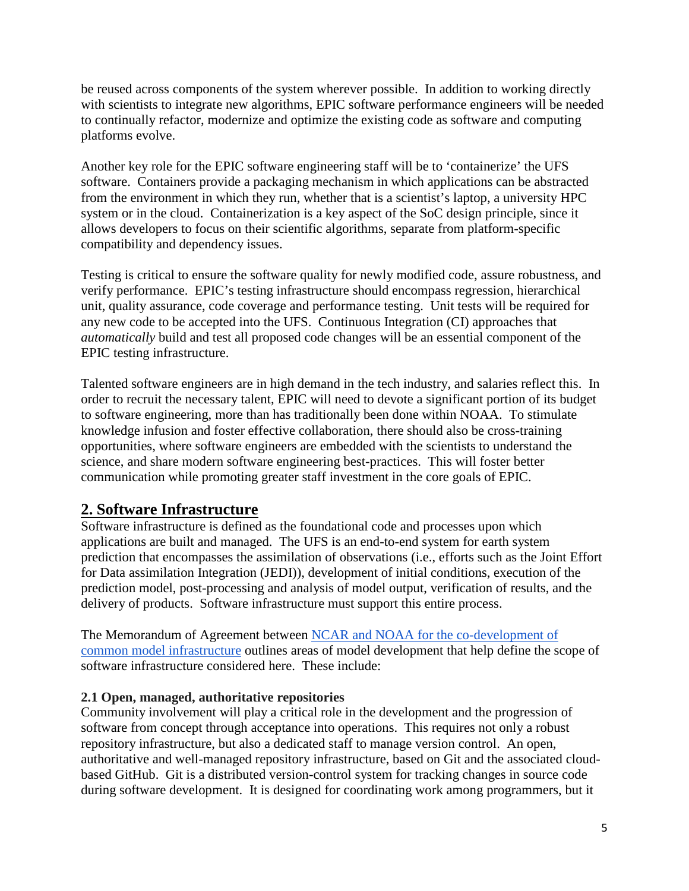be reused across components of the system wherever possible. In addition to working directly with scientists to integrate new algorithms, EPIC software performance engineers will be needed to continually refactor, modernize and optimize the existing code as software and computing platforms evolve.

Another key role for the EPIC software engineering staff will be to 'containerize' the UFS software. Containers provide a packaging mechanism in which applications can be abstracted from the environment in which they run, whether that is a scientist's laptop, a university HPC system or in the cloud. Containerization is a key aspect of the SoC design principle, since it allows developers to focus on their scientific algorithms, separate from platform-specific compatibility and dependency issues.

Testing is critical to ensure the software quality for newly modified code, assure robustness, and verify performance. EPIC's testing infrastructure should encompass regression, hierarchical unit, quality assurance, code coverage and performance testing. Unit tests will be required for any new code to be accepted into the UFS. Continuous Integration (CI) approaches that *automatically* build and test all proposed code changes will be an essential component of the EPIC testing infrastructure.

Talented software engineers are in high demand in the tech industry, and salaries reflect this. In order to recruit the necessary talent, EPIC will need to devote a significant portion of its budget to software engineering, more than has traditionally been done within NOAA. To stimulate knowledge infusion and foster effective collaboration, there should also be cross-training opportunities, where software engineers are embedded with the scientists to understand the science, and share modern software engineering best-practices. This will foster better communication while promoting greater staff investment in the core goals of EPIC.

# **2. Software Infrastructure**

Software infrastructure is defined as the foundational code and processes upon which applications are built and managed. The UFS is an end-to-end system for earth system prediction that encompasses the assimilation of observations (i.e., efforts such as the Joint Effort for Data assimilation Integration (JEDI)), development of initial conditions, execution of the prediction model, post-processing and analysis of model output, verification of results, and the delivery of products. Software infrastructure must support this entire process.

The Memorandum of Agreement between [NCAR and NOAA for the co-development of](https://drive.google.com/open?id=16riP50vQFv7odOoRGvSRwxapVvk6niE2)  [common model infrastructure](https://drive.google.com/open?id=16riP50vQFv7odOoRGvSRwxapVvk6niE2) outlines areas of model development that help define the scope of software infrastructure considered here. These include:

## **2.1 Open, managed, authoritative repositories**

Community involvement will play a critical role in the development and the progression of software from concept through acceptance into operations. This requires not only a robust repository infrastructure, but also a dedicated staff to manage version control. An open, authoritative and well-managed repository infrastructure, based on Git and the associated cloudbased GitHub. Git is a distributed version-control system for tracking changes in source code during software development. It is designed for coordinating work among programmers, but it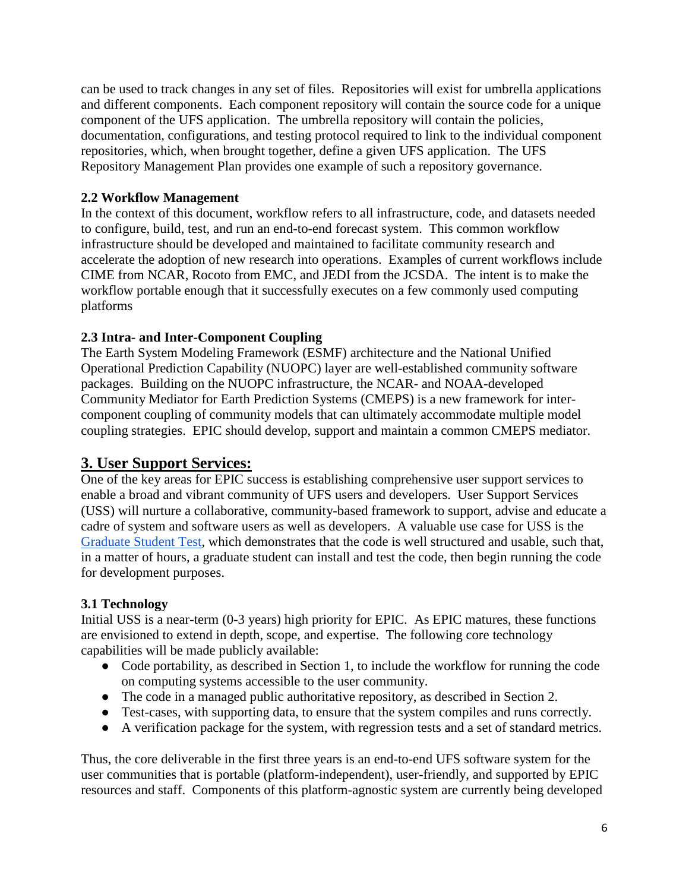can be used to track changes in any set of files. Repositories will exist for umbrella applications and different components. Each component repository will contain the source code for a unique component of the UFS application. The umbrella repository will contain the policies, documentation, configurations, and testing protocol required to link to the individual component repositories, which, when brought together, define a given UFS application. The [UFS](https://drive.google.com/file/d/1dF0DuwH-VC109MrPC_inrAO3i7-_4hD-/view) [Repository Management Plan](https://drive.google.com/file/d/1dF0DuwH-VC109MrPC_inrAO3i7-_4hD-/view) provides one example of such a repository governance.

## **2.2 Workflow Management**

In the context of this document, workflow refers to all infrastructure, code, and datasets needed to configure, build, test, and run an end-to-end forecast system. This common workflow infrastructure should be developed and maintained to facilitate community research and accelerate the adoption of new research into operations. Examples of current workflows include CIME from NCAR, Rocoto from EMC, and JEDI from the JCSDA. The intent is to make the workflow portable enough that it successfully executes on a few commonly used computing platforms

## **2.3 Intra- and Inter-Component Coupling**

The Earth System Modeling Framework (ESMF) architecture and the National Unified Operational Prediction Capability (NUOPC) layer are well-established community software packages. Building on the NUOPC infrastructure, the NCAR- and NOAA-developed Community Mediator for Earth Prediction Systems (CMEPS) is a new framework for intercomponent coupling of community models that can ultimately accommodate multiple model coupling strategies. EPIC should develop, support and maintain a common CMEPS mediator.

# **3. User Support Services:**

One of the key areas for EPIC success is establishing comprehensive user support services to enable a broad and vibrant community of UFS users and developers. User Support Services (USS) will nurture a collaborative, community-based framework to support, advise and educate a cadre of system and software users as well as developers. A valuable use case for USS is the [Graduate Student Test,](http://ufs-dev.rap.ucar.edu/index.html#/science/gst) which demonstrates that the code is well structured and usable, such that, in a matter of hours, a graduate student can install and test the code, then begin running the code for development purposes.

## **3.1 Technology**

Initial USS is a near-term (0-3 years) high priority for EPIC. As EPIC matures, these functions are envisioned to extend in depth, scope, and expertise. The following core technology capabilities will be made publicly available:

- Code portability, as described in Section 1, to include the workflow for running the code on computing systems accessible to the user community.
- The code in a managed public authoritative repository, as described in Section 2.
- Test-cases, with supporting data, to ensure that the system compiles and runs correctly.
- A verification package for the system, with regression tests and a set of standard metrics.

Thus, the core deliverable in the first three years is an end-to-end UFS software system for the user communities that is portable (platform-independent), user-friendly, and supported by EPIC resources and staff. Components of this platform-agnostic system are currently being developed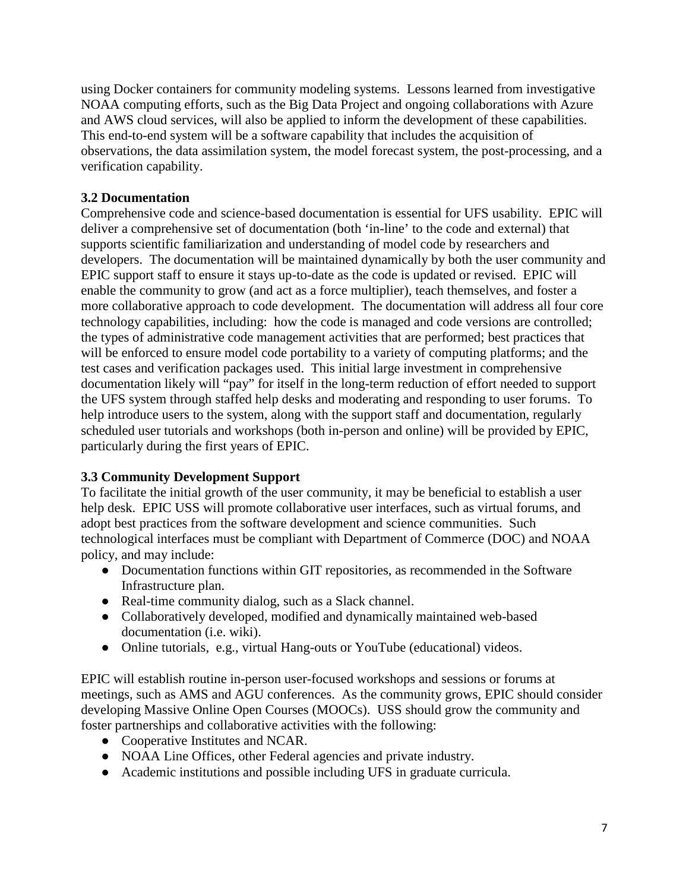using Docker containers for community modeling systems. Lessons learned from investigative NOAA computing efforts, such as the Big Data Project and ongoing collaborations with Azure and AWS cloud services, will also be applied to inform the development of these capabilities. This end-to-end system will be a software capability that includes the acquisition of observations, the data assimilation system, the model forecast system, the post-processing, and a verification capability.

## **3.2 Documentation**

Comprehensive code and science-based documentation is essential for UFS usability. EPIC will deliver a comprehensive set of documentation (both 'in-line' to the code and external) that supports scientific familiarization and understanding of model code by researchers and developers. The documentation will be maintained dynamically by both the user community and EPIC support staff to ensure it stays up-to-date as the code is updated or revised. EPIC will enable the community to grow (and act as a force multiplier), teach themselves, and foster a more collaborative approach to code development. The documentation will address all four core technology capabilities, including: how the code is managed and code versions are controlled; the types of administrative code management activities that are performed; best practices that will be enforced to ensure model code portability to a variety of computing platforms; and the test cases and verification packages used. This initial large investment in comprehensive documentation likely will "pay" for itself in the long-term reduction of effort needed to support the UFS system through staffed help desks and moderating and responding to user forums. To help introduce users to the system, along with the support staff and documentation, regularly scheduled user tutorials and workshops (both in-person and online) will be provided by EPIC, particularly during the first years of EPIC.

## **3.3 Community Development Support**

To facilitate the initial growth of the user community, it may be beneficial to establish a user help desk. EPIC USS will promote collaborative user interfaces, such as virtual forums, and adopt best practices from the software development and science communities. Such technological interfaces must be compliant with Department of Commerce (DOC) and NOAA policy, and may include:

- Documentation functions within GIT repositories, as recommended in the Software Infrastructure plan.
- Real-time community dialog, such as a Slack channel.
- Collaboratively developed, modified and dynamically maintained web-based documentation (i.e. wiki).
- Online tutorials, e.g., virtual Hang-outs or YouTube (educational) videos.

EPIC will establish routine in-person user-focused workshops and sessions or forums at meetings, such as AMS and AGU conferences. As the community grows, EPIC should consider developing Massive Online Open Courses (MOOCs). USS should grow the community and foster partnerships and collaborative activities with the following:

- Cooperative Institutes and NCAR.
- NOAA Line Offices, other Federal agencies and private industry.
- Academic institutions and possible including UFS in graduate curricula.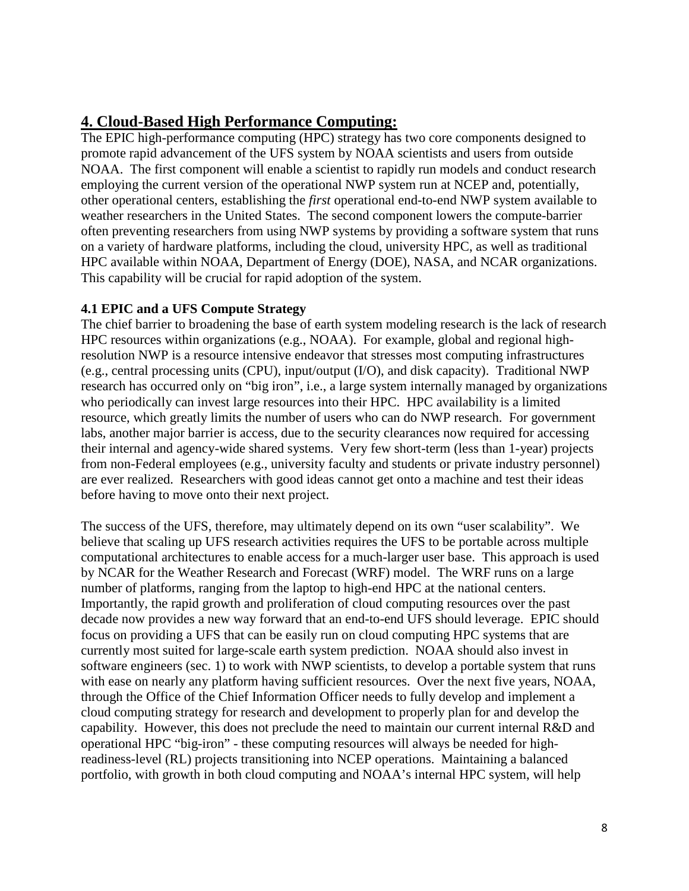# **4. Cloud-Based High Performance Computing:**

The EPIC high-performance computing (HPC) strategy has two core components designed to promote rapid advancement of the UFS system by NOAA scientists and users from outside NOAA. The first component will enable a scientist to rapidly run models and conduct research employing the current version of the operational NWP system run at NCEP and, potentially, other operational centers, establishing the *first* operational end-to-end NWP system available to weather researchers in the United States. The second component lowers the compute-barrier often preventing researchers from using NWP systems by providing a software system that runs on a variety of hardware platforms, including the cloud, university HPC, as well as traditional HPC available within NOAA, Department of Energy (DOE), NASA, and NCAR organizations. This capability will be crucial for rapid adoption of the system.

## **4.1 EPIC and a UFS Compute Strategy**

The chief barrier to broadening the base of earth system modeling research is the lack of research HPC resources within organizations (e.g., NOAA). For example, global and regional highresolution NWP is a resource intensive endeavor that stresses most computing infrastructures (e.g., central processing units (CPU), input/output (I/O), and disk capacity). Traditional NWP research has occurred only on "big iron", i.e., a large system internally managed by organizations who periodically can invest large resources into their HPC. HPC availability is a limited resource, which greatly limits the number of users who can do NWP research. For government labs, another major barrier is access, due to the security clearances now required for accessing their internal and agency-wide shared systems. Very few short-term (less than 1-year) projects from non-Federal employees (e.g., university faculty and students or private industry personnel) are ever realized. Researchers with good ideas cannot get onto a machine and test their ideas before having to move onto their next project.

The success of the UFS, therefore, may ultimately depend on its own "user scalability". We believe that scaling up UFS research activities requires the UFS to be portable across multiple computational architectures to enable access for a much-larger user base. This approach is used by NCAR for the Weather Research and Forecast (WRF) model. The WRF runs on a large number of platforms, ranging from the laptop to high-end HPC at the national centers. Importantly, the rapid growth and proliferation of cloud computing resources over the past decade now provides a new way forward that an end-to-end UFS should leverage. EPIC should focus on providing a UFS that can be easily run on cloud computing HPC systems that are currently most suited for large-scale earth system prediction. NOAA should also invest in software engineers (sec. 1) to work with NWP scientists, to develop a portable system that runs with ease on nearly any platform having sufficient resources. Over the next five years, NOAA, through the Office of the Chief Information Officer needs to fully develop and implement a cloud computing strategy for research and development to properly plan for and develop the capability. However, this does not preclude the need to maintain our current internal R&D and operational HPC "big-iron" - these computing resources will always be needed for highreadiness-level (RL) projects transitioning into NCEP operations. Maintaining a balanced portfolio, with growth in both cloud computing and NOAA's internal HPC system, will help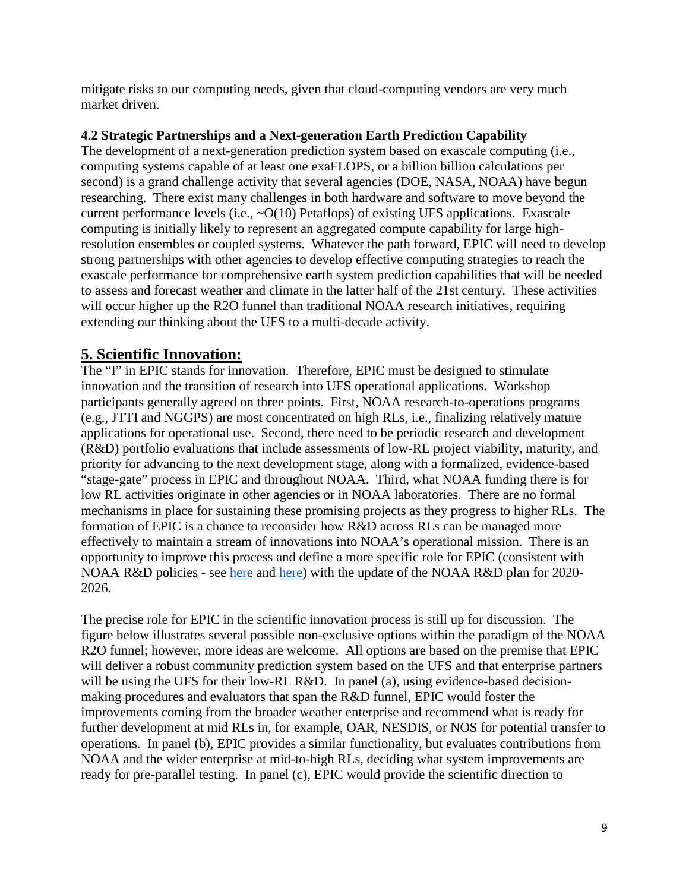mitigate risks to our computing needs, given that cloud-computing vendors are very much market driven.

## **4.2 Strategic Partnerships and a Next-generation Earth Prediction Capability**

The development of a next-generation prediction system based on exascale computing (i.e., computing systems capable of at least one exaFLOPS, or a billion billion calculations per second) is a grand challenge activity that several agencies (DOE, NASA, NOAA) have begun researching. There exist many challenges in both hardware and software to move beyond the current performance levels (i.e.,  $\sim O(10)$  Petaflops) of existing UFS applications. Exascale computing is initially likely to represent an aggregated compute capability for large highresolution ensembles or coupled systems. Whatever the path forward, EPIC will need to develop strong partnerships with other agencies to develop effective computing strategies to reach the exascale performance for comprehensive earth system prediction capabilities that will be needed to assess and forecast weather and climate in the latter half of the 21st century. These activities will occur higher up the R2O funnel than traditional NOAA research initiatives, requiring extending our thinking about the UFS to a multi-decade activity.

# **5. Scientific Innovation:**

The "I" in EPIC stands for innovation. Therefore, EPIC must be designed to stimulate innovation and the transition of research into UFS operational applications. Workshop participants generally agreed on three points. First, NOAA research-to-operations programs (e.g., JTTI and NGGPS) are most concentrated on high RLs, i.e., finalizing relatively mature applications for operational use. Second, there need to be periodic research and development (R&D) portfolio evaluations that include assessments of low-RL project viability, maturity, and priority for advancing to the next development stage, along with a formalized, evidence-based "stage-gate" process in EPIC and throughout NOAA. Third, what NOAA funding there is for low RL activities originate in other agencies or in NOAA laboratories. There are no formal mechanisms in place for sustaining these promising projects as they progress to higher RLs. The formation of EPIC is a chance to reconsider how R&D across RLs can be managed more effectively to maintain a stream of innovations into NOAA's operational mission. There is an opportunity to improve this process and define a more specific role for EPIC (consistent with NOAA R&D policies - see [here](https://www.corporateservices.noaa.gov/ames/administrative_orders/chapter_216/216-105B.html) and [here\)](https://www.corporateservices.noaa.gov/ames/administrative_orders/chapter_216/216-115A.html) with the update of the NOAA R&D plan for 2020-2026.

The precise role for EPIC in the scientific innovation process is still up for discussion. The figure below illustrates several possible non-exclusive options within the paradigm of the NOAA R2O funnel; however, more ideas are welcome. All options are based on the premise that EPIC will deliver a robust community prediction system based on the UFS and that enterprise partners will be using the UFS for their low-RL R&D. In panel (a), using evidence-based decisionmaking procedures and evaluators that span the R&D funnel, EPIC would foster the improvements coming from the broader weather enterprise and recommend what is ready for further development at mid RLs in, for example, OAR, NESDIS, or NOS for potential transfer to operations. In panel (b), EPIC provides a similar functionality, but evaluates contributions from NOAA and the wider enterprise at mid-to-high RLs, deciding what system improvements are ready for pre-parallel testing. In panel (c), EPIC would provide the scientific direction to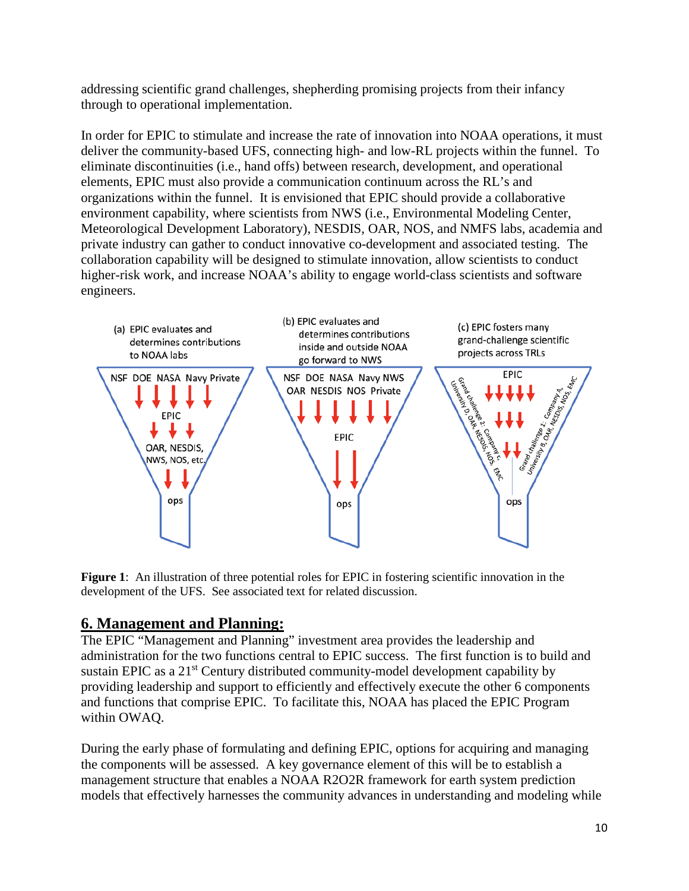addressing scientific grand challenges, shepherding promising projects from their infancy through to operational implementation.

In order for EPIC to stimulate and increase the rate of innovation into NOAA operations, it must deliver the community-based UFS, connecting high- and low-RL projects within the funnel. To eliminate discontinuities (i.e., hand offs) between research, development, and operational elements, EPIC must also provide a communication continuum across the RL's and organizations within the funnel. It is envisioned that EPIC should provide a collaborative environment capability, where scientists from NWS (i.e., Environmental Modeling Center, Meteorological Development Laboratory), NESDIS, OAR, NOS, and NMFS labs, academia and private industry can gather to conduct innovative co-development and associated testing. The collaboration capability will be designed to stimulate innovation, allow scientists to conduct higher-risk work, and increase NOAA's ability to engage world-class scientists and software engineers.



**Figure 1**: An illustration of three potential roles for EPIC in fostering scientific innovation in the development of the UFS. See associated text for related discussion.

# **6. Management and Planning:**

The EPIC "Management and Planning" investment area provides the leadership and administration for the two functions central to EPIC success. The first function is to build and sustain EPIC as a 21<sup>st</sup> Century distributed community-model development capability by providing leadership and support to efficiently and effectively execute the other 6 components and functions that comprise EPIC. To facilitate this, NOAA has placed the EPIC Program within OWAQ.

During the early phase of formulating and defining EPIC, options for acquiring and managing the components will be assessed. A key governance element of this will be to establish a management structure that enables a NOAA R2O2R framework for earth system prediction models that effectively harnesses the community advances in understanding and modeling while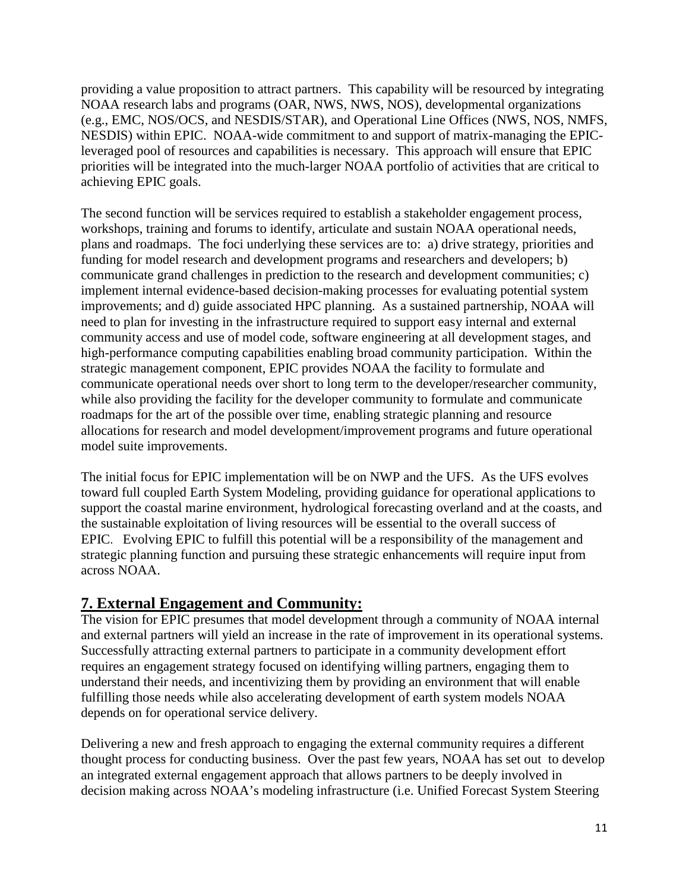providing a value proposition to attract partners. This capability will be resourced by integrating NOAA research labs and programs (OAR, NWS, NWS, NOS), developmental organizations (e.g., EMC, NOS/OCS, and NESDIS/STAR), and Operational Line Offices (NWS, NOS, NMFS, NESDIS) within EPIC. NOAA-wide commitment to and support of matrix-managing the EPICleveraged pool of resources and capabilities is necessary. This approach will ensure that EPIC priorities will be integrated into the much-larger NOAA portfolio of activities that are critical to achieving EPIC goals.

The second function will be services required to establish a stakeholder engagement process, workshops, training and forums to identify, articulate and sustain NOAA operational needs, plans and roadmaps. The foci underlying these services are to: a) drive strategy, priorities and funding for model research and development programs and researchers and developers; b) communicate grand challenges in prediction to the research and development communities; c) implement internal evidence-based decision-making processes for evaluating potential system improvements; and d) guide associated HPC planning. As a sustained partnership, NOAA will need to plan for investing in the infrastructure required to support easy internal and external community access and use of model code, software engineering at all development stages, and high-performance computing capabilities enabling broad community participation. Within the strategic management component, EPIC provides NOAA the facility to formulate and communicate operational needs over short to long term to the developer/researcher community, while also providing the facility for the developer community to formulate and communicate roadmaps for the art of the possible over time, enabling strategic planning and resource allocations for research and model development/improvement programs and future operational model suite improvements.

The initial focus for EPIC implementation will be on NWP and the UFS. As the UFS evolves toward full coupled Earth System Modeling, providing guidance for operational applications to support the coastal marine environment, hydrological forecasting overland and at the coasts, and the sustainable exploitation of living resources will be essential to the overall success of EPIC. Evolving EPIC to fulfill this potential will be a responsibility of the management and strategic planning function and pursuing these strategic enhancements will require input from across NOAA.

# **7. External Engagement and Community:**

The vision for EPIC presumes that model development through a community of NOAA internal and external partners will yield an increase in the rate of improvement in its operational systems. Successfully attracting external partners to participate in a community development effort requires an engagement strategy focused on identifying willing partners, engaging them to understand their needs, and incentivizing them by providing an environment that will enable fulfilling those needs while also accelerating development of earth system models NOAA depends on for operational service delivery.

Delivering a new and fresh approach to engaging the external community requires a different thought process for conducting business. Over the past few years, NOAA has set out to develop an integrated external engagement approach that allows partners to be deeply involved in decision making across NOAA's modeling infrastructure (i.e. Unified Forecast System Steering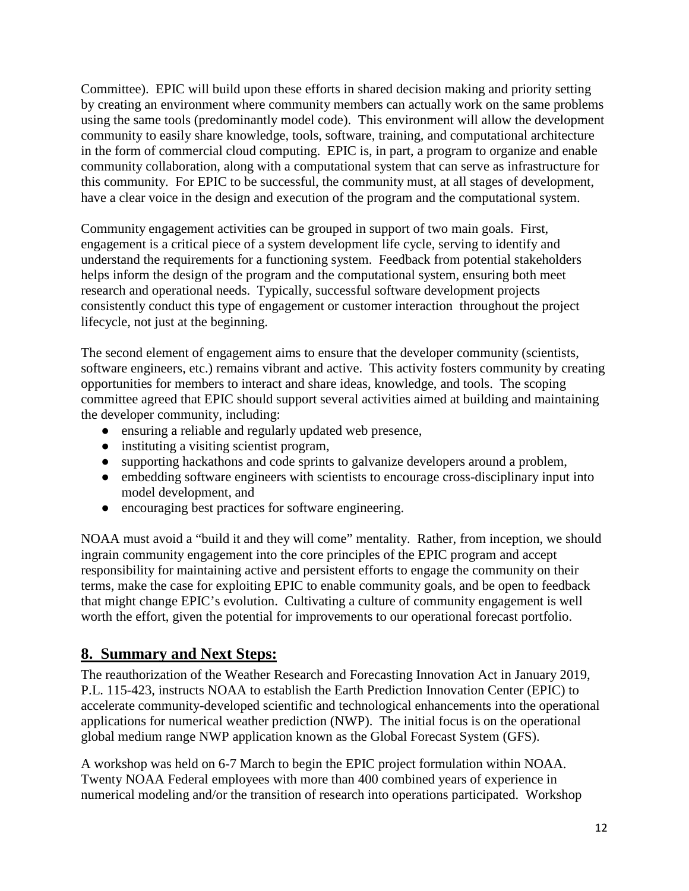Committee). EPIC will build upon these efforts in shared decision making and priority setting by creating an environment where community members can actually work on the same problems using the same tools (predominantly model code). This environment will allow the development community to easily share knowledge, tools, software, training, and computational architecture in the form of commercial cloud computing. EPIC is, in part, a program to organize and enable community collaboration, along with a computational system that can serve as infrastructure for this community. For EPIC to be successful, the community must, at all stages of development, have a clear voice in the design and execution of the program and the computational system.

Community engagement activities can be grouped in support of two main goals. First, engagement is a critical piece of a system development life cycle, serving to identify and understand the requirements for a functioning system. Feedback from potential stakeholders helps inform the design of the program and the computational system, ensuring both meet research and operational needs. Typically, successful software development projects consistently conduct this type of engagement or customer interaction throughout the project lifecycle, not just at the beginning.

The second element of engagement aims to ensure that the developer community (scientists, software engineers, etc.) remains vibrant and active. This activity fosters community by creating opportunities for members to interact and share ideas, knowledge, and tools. The scoping committee agreed that EPIC should support several activities aimed at building and maintaining the developer community, including:

- ensuring a reliable and regularly updated web presence,
- instituting a visiting scientist program,
- supporting hackathons and code sprints to galvanize developers around a problem,
- embedding software engineers with scientists to encourage cross-disciplinary input into model development, and
- encouraging best practices for software engineering.

NOAA must avoid a "build it and they will come" mentality. Rather, from inception, we should ingrain community engagement into the core principles of the EPIC program and accept responsibility for maintaining active and persistent efforts to engage the community on their terms, make the case for exploiting EPIC to enable community goals, and be open to feedback that might change EPIC's evolution. Cultivating a culture of community engagement is well worth the effort, given the potential for improvements to our operational forecast portfolio.

# **8. Summary and Next Steps:**

The reauthorization of the Weather Research and Forecasting Innovation Act in January 2019, P.L. 115-423, instructs NOAA to establish the Earth Prediction Innovation Center (EPIC) to accelerate community-developed scientific and technological enhancements into the operational applications for numerical weather prediction (NWP). The initial focus is on the operational global medium range NWP application known as the Global Forecast System (GFS).

A workshop was held on 6-7 March to begin the EPIC project formulation within NOAA. Twenty NOAA Federal employees with more than 400 combined years of experience in numerical modeling and/or the transition of research into operations participated. Workshop